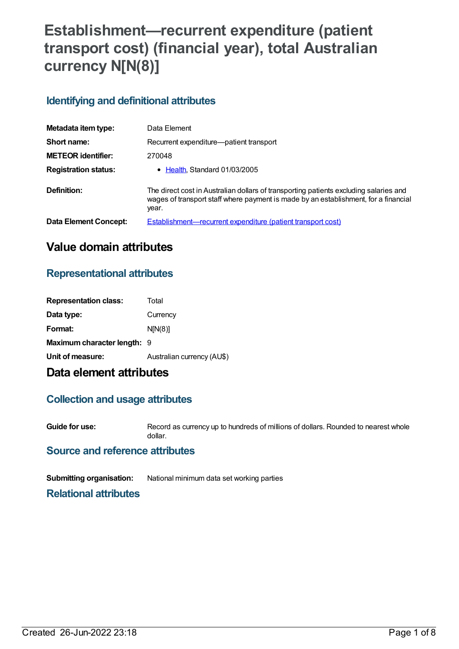# **Establishment—recurrent expenditure (patient transport cost) (financial year), total Australian currency N[N(8)]**

## **Identifying and definitional attributes**

| Metadata item type:         | Data Element                                                                                                                                                                          |
|-----------------------------|---------------------------------------------------------------------------------------------------------------------------------------------------------------------------------------|
| Short name:                 | Recurrent expenditure—patient transport                                                                                                                                               |
| <b>METEOR identifier:</b>   | 270048                                                                                                                                                                                |
| <b>Registration status:</b> | • Health, Standard 01/03/2005                                                                                                                                                         |
| Definition:                 | The direct cost in Australian dollars of transporting patients excluding salaries and<br>wages of transport staff where payment is made by an establishment, for a financial<br>year. |
| Data Element Concept:       | Establishment—recurrent expenditure (patient transport cost)                                                                                                                          |

## **Value domain attributes**

### **Representational attributes**

| Data type:<br>Currency<br>Format:<br>N[N(8)]<br>Maximum character length: 9<br>Australian currency (AU\$)<br>Unit of measure: | <b>Representation class:</b> | Total |
|-------------------------------------------------------------------------------------------------------------------------------|------------------------------|-------|
|                                                                                                                               |                              |       |
|                                                                                                                               |                              |       |
|                                                                                                                               |                              |       |
|                                                                                                                               |                              |       |

## **Data element attributes**

### **Collection and usage attributes**

**Guide for use:** Record as currency up to hundreds of millions of dollars. Rounded to nearest whole dollar.

#### **Source and reference attributes**

**Submitting organisation:** National minimum data set working parties

#### **Relational attributes**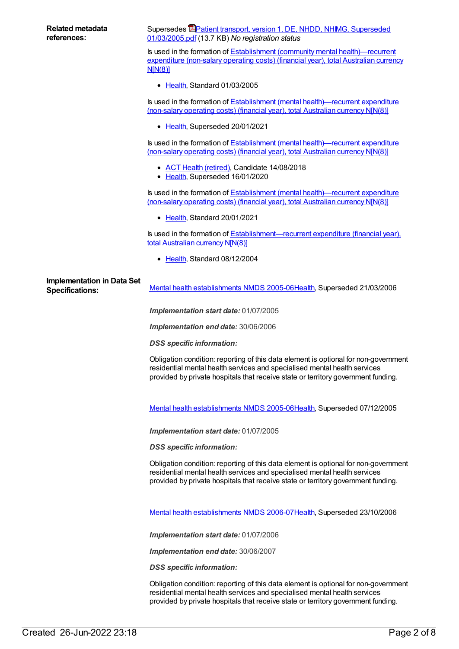| <b>Related metadata</b><br>references:                      | Supersedes <b>EPatient transport, version 1, DE, NHDD, NHIMG, Superseded</b><br>01/03/2005.pdf (13.7 KB) No registration status                                                                                                                       |
|-------------------------------------------------------------|-------------------------------------------------------------------------------------------------------------------------------------------------------------------------------------------------------------------------------------------------------|
|                                                             | Is used in the formation of Establishment (community mental health)—recurrent<br>expenditure (non-salary operating costs) (financial year), total Australian currency<br>N[N(8)]                                                                      |
|                                                             | • Health, Standard 01/03/2005                                                                                                                                                                                                                         |
|                                                             | Is used in the formation of <b>Establishment</b> (mental health)—recurrent expenditure<br>(non-salary operating costs) (financial year), total Australian currency NJN(8)]                                                                            |
|                                                             | • Health, Superseded 20/01/2021                                                                                                                                                                                                                       |
|                                                             | Is used in the formation of Establishment (mental health)—recurrent expenditure<br>(non-salary operating costs) (financial year), total Australian currency N[N(8)]                                                                                   |
|                                                             | • ACT Health (retired), Candidate 14/08/2018<br>• Health, Superseded 16/01/2020                                                                                                                                                                       |
|                                                             | Is used in the formation of Establishment (mental health)—recurrent expenditure<br>(non-salary operating costs) (financial year), total Australian currency NIN(8)]                                                                                   |
|                                                             | • Health, Standard 20/01/2021                                                                                                                                                                                                                         |
|                                                             | Is used in the formation of <b>Establishment—recurrent expenditure (financial year)</b> ,<br>total Australian currency N[N(8)]                                                                                                                        |
|                                                             | • Health, Standard 08/12/2004                                                                                                                                                                                                                         |
| <b>Implementation in Data Set</b><br><b>Specifications:</b> | Mental health establishments NMDS 2005-06Health, Superseded 21/03/2006                                                                                                                                                                                |
|                                                             | Implementation start date: 01/07/2005                                                                                                                                                                                                                 |
|                                                             | Implementation end date: 30/06/2006                                                                                                                                                                                                                   |
|                                                             | <b>DSS</b> specific information:                                                                                                                                                                                                                      |
|                                                             | Obligation condition: reporting of this data element is optional for non-government<br>residential mental health services and specialised mental health services<br>provided by private hospitals that receive state or territory government funding. |
|                                                             | Mental health establishments NMDS 2005-06Health, Superseded 07/12/2005                                                                                                                                                                                |
|                                                             | Implementation start date: 01/07/2005                                                                                                                                                                                                                 |
|                                                             | <b>DSS</b> specific information:                                                                                                                                                                                                                      |
|                                                             | Obligation condition: reporting of this data element is optional for non-government<br>residential mental health services and specialised mental health services<br>provided by private hospitals that receive state or territory government funding. |
|                                                             | Mental health establishments NMDS 2006-07 Health, Superseded 23/10/2006                                                                                                                                                                               |
|                                                             | Implementation start date: 01/07/2006                                                                                                                                                                                                                 |
|                                                             | Implementation end date: 30/06/2007                                                                                                                                                                                                                   |
|                                                             | <b>DSS</b> specific information:                                                                                                                                                                                                                      |
|                                                             |                                                                                                                                                                                                                                                       |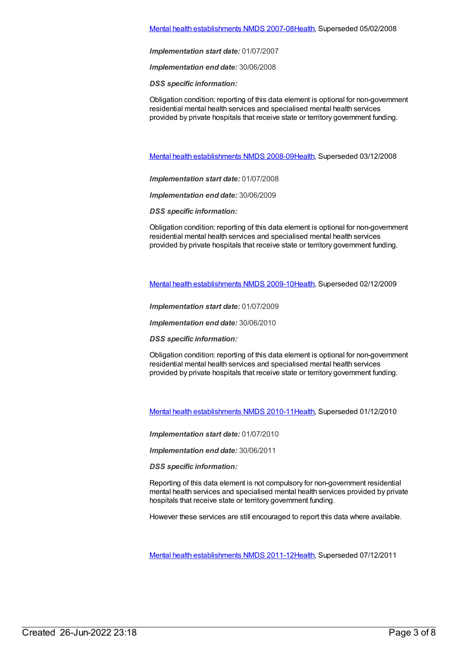#### Mental health [establishments](https://meteor.aihw.gov.au/content/345134) NMDS 2007-08[Health](https://meteor.aihw.gov.au/RegistrationAuthority/12), Superseded 05/02/2008

*Implementation start date:* 01/07/2007

*Implementation end date:* 30/06/2008

*DSS specific information:*

Obligation condition: reporting of this data element is optional for non-government residential mental health services and specialised mental health services provided by private hospitals that receive state or territory government funding.

Mental health [establishments](https://meteor.aihw.gov.au/content/362299) NMDS 2008-09[Health](https://meteor.aihw.gov.au/RegistrationAuthority/12), Superseded 03/12/2008

*Implementation start date:* 01/07/2008

*Implementation end date:* 30/06/2009

*DSS specific information:*

Obligation condition: reporting of this data element is optional for non-government residential mental health services and specialised mental health services provided by private hospitals that receive state or territory government funding.

Mental health [establishments](https://meteor.aihw.gov.au/content/374981) NMDS 2009-10[Health](https://meteor.aihw.gov.au/RegistrationAuthority/12), Superseded 02/12/2009

*Implementation start date:* 01/07/2009

*Implementation end date:* 30/06/2010

*DSS specific information:*

Obligation condition: reporting of this data element is optional for non-government residential mental health services and specialised mental health services provided by private hospitals that receive state or territory government funding.

Mental health [establishments](https://meteor.aihw.gov.au/content/378611) NMDS 2010-11[Health](https://meteor.aihw.gov.au/RegistrationAuthority/12), Superseded 01/12/2010

*Implementation start date:* 01/07/2010

*Implementation end date:* 30/06/2011

*DSS specific information:*

Reporting of this data element is not compulsory for non-government residential mental health services and specialised mental health services provided by private hospitals that receive state or territory government funding.

However these services are still encouraged to report this data where available.

Mental health [establishments](https://meteor.aihw.gov.au/content/424725) NMDS 2011-12[Health](https://meteor.aihw.gov.au/RegistrationAuthority/12), Superseded 07/12/2011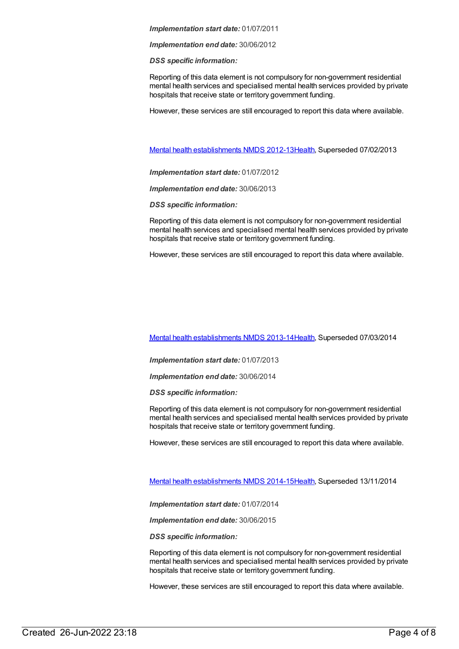*Implementation end date:* 30/06/2012

*DSS specific information:*

Reporting of this data element is not compulsory for non-government residential mental health services and specialised mental health services provided by private hospitals that receive state or territory government funding.

However, these services are still encouraged to report this data where available.

Mental health [establishments](https://meteor.aihw.gov.au/content/468195) NMDS 2012-13[Health](https://meteor.aihw.gov.au/RegistrationAuthority/12), Superseded 07/02/2013

*Implementation start date:* 01/07/2012

*Implementation end date:* 30/06/2013

*DSS specific information:*

Reporting of this data element is not compulsory for non-government residential mental health services and specialised mental health services provided by private hospitals that receive state or territory government funding.

However, these services are still encouraged to report this data where available.

Mental health [establishments](https://meteor.aihw.gov.au/content/493652) NMDS 2013-14[Health](https://meteor.aihw.gov.au/RegistrationAuthority/12), Superseded 07/03/2014

*Implementation start date:* 01/07/2013

*Implementation end date:* 30/06/2014

*DSS specific information:*

Reporting of this data element is not compulsory for non-government residential mental health services and specialised mental health services provided by private hospitals that receive state or territory government funding.

However, these services are still encouraged to report this data where available.

Mental health [establishments](https://meteor.aihw.gov.au/content/546889) NMDS 2014-15[Health](https://meteor.aihw.gov.au/RegistrationAuthority/12), Superseded 13/11/2014

*Implementation start date:* 01/07/2014

*Implementation end date:* 30/06/2015

*DSS specific information:*

Reporting of this data element is not compulsory for non-government residential mental health services and specialised mental health services provided by private hospitals that receive state or territory government funding.

However, these services are still encouraged to report this data where available.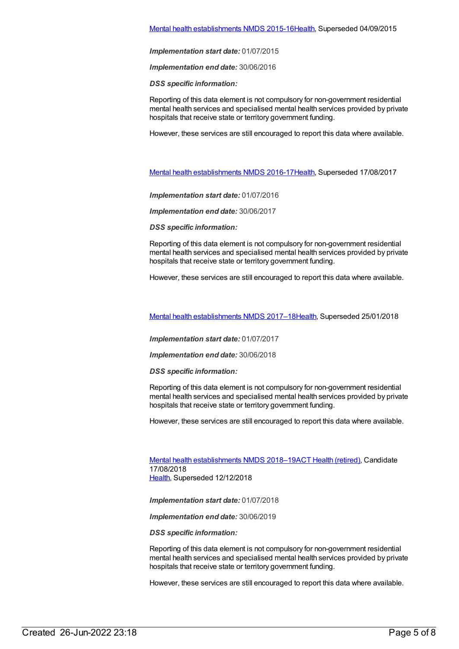*Implementation end date:* 30/06/2016

*DSS specific information:*

Reporting of this data element is not compulsory for non-government residential mental health services and specialised mental health services provided by private hospitals that receive state or territory government funding.

However, these services are still encouraged to report this data where available.

Mental health [establishments](https://meteor.aihw.gov.au/content/605829) NMDS 2016-17[Health](https://meteor.aihw.gov.au/RegistrationAuthority/12), Superseded 17/08/2017

*Implementation start date:* 01/07/2016

*Implementation end date:* 30/06/2017

*DSS specific information:*

Reporting of this data element is not compulsory for non-government residential mental health services and specialised mental health services provided by private hospitals that receive state or territory government funding.

However, these services are still encouraged to report this data where available.

Mental health [establishments](https://meteor.aihw.gov.au/content/645723) NMDS 2017–1[8Health](https://meteor.aihw.gov.au/RegistrationAuthority/12), Superseded 25/01/2018

*Implementation start date:* 01/07/2017

*Implementation end date:* 30/06/2018

*DSS specific information:*

Reporting of this data element is not compulsory for non-government residential mental health services and specialised mental health services provided by private hospitals that receive state or territory government funding.

However, these services are still encouraged to report this data where available.

Mental health [establishments](https://meteor.aihw.gov.au/content/677892) NMDS 2018–19ACT Health [\(retired\)](https://meteor.aihw.gov.au/RegistrationAuthority/9), Candidate 17/08/2018 [Health](https://meteor.aihw.gov.au/RegistrationAuthority/12), Superseded 12/12/2018

*Implementation start date:* 01/07/2018

*Implementation end date:* 30/06/2019

*DSS specific information:*

Reporting of this data element is not compulsory for non-government residential mental health services and specialised mental health services provided by private hospitals that receive state or territory government funding.

However, these services are still encouraged to report this data where available.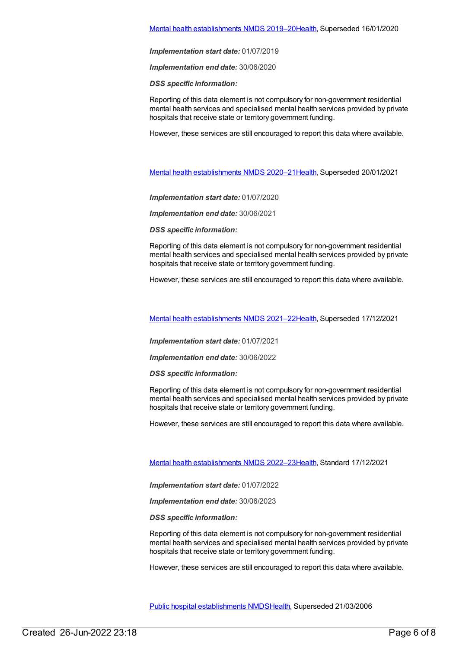*Implementation end date:* 30/06/2020

*DSS specific information:*

Reporting of this data element is not compulsory for non-government residential mental health services and specialised mental health services provided by private hospitals that receive state or territory government funding.

However, these services are still encouraged to report this data where available.

Mental health [establishments](https://meteor.aihw.gov.au/content/722168) NMDS 2020–2[1Health](https://meteor.aihw.gov.au/RegistrationAuthority/12), Superseded 20/01/2021

*Implementation start date:* 01/07/2020

*Implementation end date:* 30/06/2021

*DSS specific information:*

Reporting of this data element is not compulsory for non-government residential mental health services and specialised mental health services provided by private hospitals that receive state or territory government funding.

However, these services are still encouraged to report this data where available.

Mental health [establishments](https://meteor.aihw.gov.au/content/727352) NMDS 2021–2[2Health](https://meteor.aihw.gov.au/RegistrationAuthority/12), Superseded 17/12/2021

*Implementation start date:* 01/07/2021

*Implementation end date:* 30/06/2022

*DSS specific information:*

Reporting of this data element is not compulsory for non-government residential mental health services and specialised mental health services provided by private hospitals that receive state or territory government funding.

However, these services are still encouraged to report this data where available.

Mental health [establishments](https://meteor.aihw.gov.au/content/742046) NMDS 2022–2[3Health](https://meteor.aihw.gov.au/RegistrationAuthority/12), Standard 17/12/2021

*Implementation start date:* 01/07/2022

*Implementation end date:* 30/06/2023

*DSS specific information:*

Reporting of this data element is not compulsory for non-government residential mental health services and specialised mental health services provided by private hospitals that receive state or territory government funding.

However, these services are still encouraged to report this data where available.

Public hospital [establishments](https://meteor.aihw.gov.au/content/273047) NMDS[Health](https://meteor.aihw.gov.au/RegistrationAuthority/12), Superseded 21/03/2006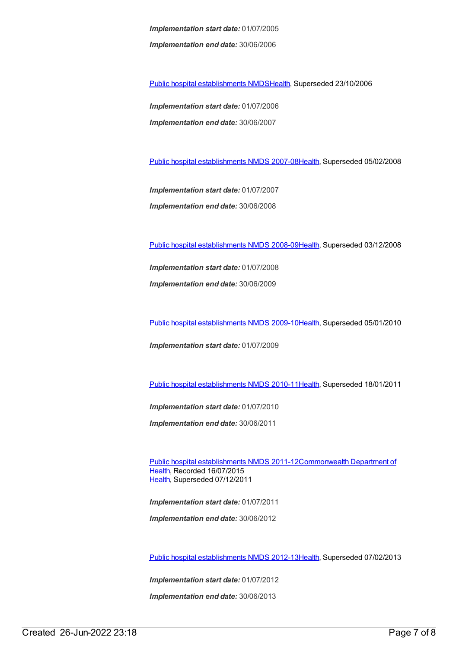*Implementation start date:* 01/07/2005 *Implementation end date:* 30/06/2006

Public hospital [establishments](https://meteor.aihw.gov.au/content/334285) NMDS[Health](https://meteor.aihw.gov.au/RegistrationAuthority/12), Superseded 23/10/2006

*Implementation start date:* 01/07/2006 *Implementation end date:* 30/06/2007

Public hospital [establishments](https://meteor.aihw.gov.au/content/345139) NMDS 2007-08[Health](https://meteor.aihw.gov.au/RegistrationAuthority/12), Superseded 05/02/2008

*Implementation start date:* 01/07/2007 *Implementation end date:* 30/06/2008

Public hospital [establishments](https://meteor.aihw.gov.au/content/362302) NMDS 2008-09[Health](https://meteor.aihw.gov.au/RegistrationAuthority/12), Superseded 03/12/2008

*Implementation start date:* 01/07/2008 *Implementation end date:* 30/06/2009

Public hospital [establishments](https://meteor.aihw.gov.au/content/374924) NMDS 2009-10[Health](https://meteor.aihw.gov.au/RegistrationAuthority/12), Superseded 05/01/2010

*Implementation start date:* 01/07/2009

Public hospital [establishments](https://meteor.aihw.gov.au/content/386794) NMDS 2010-11[Health](https://meteor.aihw.gov.au/RegistrationAuthority/12), Superseded 18/01/2011

*Implementation start date:* 01/07/2010

*Implementation end date:* 30/06/2011

Public hospital [establishments](https://meteor.aihw.gov.au/content/426900) NMDS [2011-12Commonwealth](https://meteor.aihw.gov.au/RegistrationAuthority/10) Department of Health, Recorded 16/07/2015 [Health](https://meteor.aihw.gov.au/RegistrationAuthority/12), Superseded 07/12/2011

*Implementation start date:* 01/07/2011 *Implementation end date:* 30/06/2012

Public hospital [establishments](https://meteor.aihw.gov.au/content/470656) NMDS 2012-13[Health](https://meteor.aihw.gov.au/RegistrationAuthority/12), Superseded 07/02/2013

*Implementation start date:* 01/07/2012

*Implementation end date:* 30/06/2013